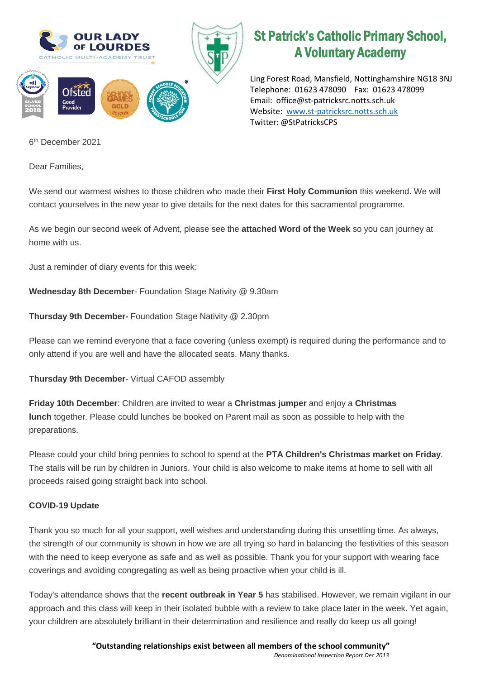

## St Patrick's Catholic Primary School, A Voluntary Academy

Ling Forest Road, Mansfield, Nottinghamshire NG18 3NJ Telephone: 01623 478090 Fax: 01623 478099 Email: office@st-patricksrc.notts.sch.uk Website: [www.st-patricksrc.notts.sch.uk](http://www.st-patricksrc.notts.sch.uk/) Twitter: @StPatricksCPS

6 th December 2021

Dear Families,

We send our warmest wishes to those children who made their **First Holy Communion** this weekend. We will contact yourselves in the new year to give details for the next dates for this sacramental programme.

As we begin our second week of Advent, please see the **attached Word of the Week** so you can journey at home with us.

Just a reminder of diary events for this week:

**Wednesday 8th December**- Foundation Stage Nativity @ 9.30am

**Thursday 9th December-** Foundation Stage Nativity @ 2.30pm

Please can we remind everyone that a face covering (unless exempt) is required during the performance and to only attend if you are well and have the allocated seats. Many thanks.

## **Thursday 9th December**- Virtual CAFOD assembly

**Friday 10th December**: Children are invited to wear a **Christmas jumper** and enjoy a **Christmas lunch** together. Please could lunches be booked on Parent mail as soon as possible to help with the preparations.

Please could your child bring pennies to school to spend at the **PTA Children's Christmas market on Friday**. The stalls will be run by children in Juniors. Your child is also welcome to make items at home to sell with all proceeds raised going straight back into school.

## **COVID-19 Update**

Thank you so much for all your support, well wishes and understanding during this unsettling time. As always, the strength of our community is shown in how we are all trying so hard in balancing the festivities of this season with the need to keep everyone as safe and as well as possible. Thank you for your support with wearing face coverings and avoiding congregating as well as being proactive when your child is ill.

Today's attendance shows that the **recent outbreak in Year 5** has stabilised. However, we remain vigilant in our approach and this class will keep in their isolated bubble with a review to take place later in the week. Yet again, your children are absolutely brilliant in their determination and resilience and really do keep us all going!